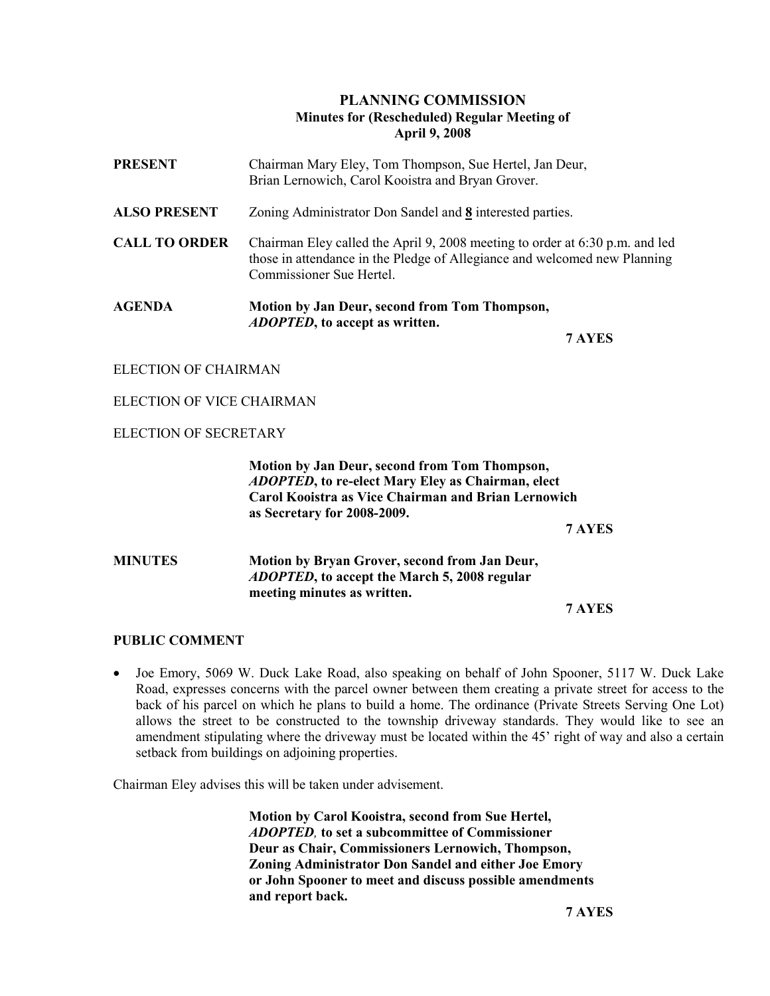## PLANNING COMMISSION Minutes for (Rescheduled) Regular Meeting of April 9, 2008

| <b>PRESENT</b>       | Chairman Mary Eley, Tom Thompson, Sue Hertel, Jan Deur,<br>Brian Lernowich, Carol Kooistra and Bryan Grover.                                                                          |
|----------------------|---------------------------------------------------------------------------------------------------------------------------------------------------------------------------------------|
| <b>ALSO PRESENT</b>  | Zoning Administrator Don Sandel and 8 interested parties.                                                                                                                             |
| <b>CALL TO ORDER</b> | Chairman Eley called the April 9, 2008 meeting to order at 6:30 p.m. and led<br>those in attendance in the Pledge of Allegiance and welcomed new Planning<br>Commissioner Sue Hertel. |
| <b>AGENDA</b>        | Motion by Jan Deur, second from Tom Thompson,<br><i>ADOPTED</i> , to accept as written.                                                                                               |
|                      | 7 AYES                                                                                                                                                                                |

ELECTION OF CHAIRMAN

ELECTION OF VICE CHAIRMAN

ELECTION OF SECRETARY

 Motion by Jan Deur, second from Tom Thompson, ADOPTED, to re-elect Mary Eley as Chairman, elect Carol Kooistra as Vice Chairman and Brian Lernowich as Secretary for 2008-2009.

7 AYES

# MINUTES Motion by Bryan Grover, second from Jan Deur, ADOPTED, to accept the March 5, 2008 regular meeting minutes as written.

7 AYES

#### PUBLIC COMMENT

• Joe Emory, 5069 W. Duck Lake Road, also speaking on behalf of John Spooner, 5117 W. Duck Lake Road, expresses concerns with the parcel owner between them creating a private street for access to the back of his parcel on which he plans to build a home. The ordinance (Private Streets Serving One Lot) allows the street to be constructed to the township driveway standards. They would like to see an amendment stipulating where the driveway must be located within the 45' right of way and also a certain setback from buildings on adjoining properties.

Chairman Eley advises this will be taken under advisement.

 Motion by Carol Kooistra, second from Sue Hertel, ADOPTED, to set a subcommittee of Commissioner Deur as Chair, Commissioners Lernowich, Thompson, Zoning Administrator Don Sandel and either Joe Emory or John Spooner to meet and discuss possible amendments and report back.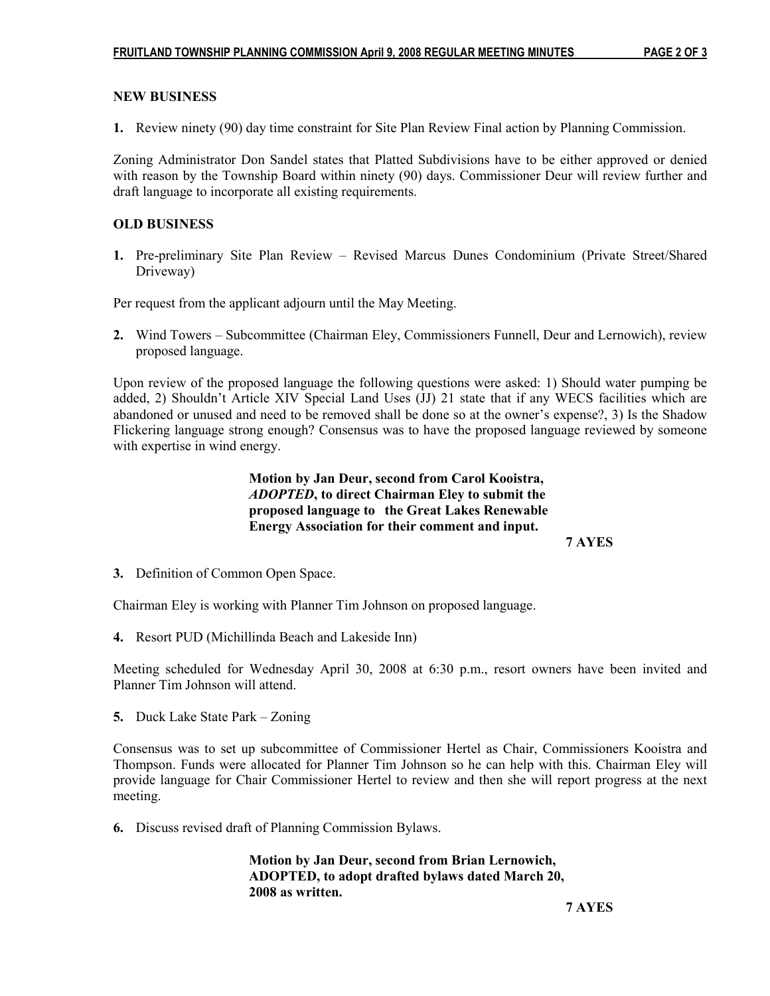### NEW BUSINESS

1. Review ninety (90) day time constraint for Site Plan Review Final action by Planning Commission.

Zoning Administrator Don Sandel states that Platted Subdivisions have to be either approved or denied with reason by the Township Board within ninety (90) days. Commissioner Deur will review further and draft language to incorporate all existing requirements.

### OLD BUSINESS

1. Pre-preliminary Site Plan Review – Revised Marcus Dunes Condominium (Private Street/Shared Driveway)

Per request from the applicant adjourn until the May Meeting.

2. Wind Towers – Subcommittee (Chairman Eley, Commissioners Funnell, Deur and Lernowich), review proposed language.

Upon review of the proposed language the following questions were asked: 1) Should water pumping be added, 2) Shouldn't Article XIV Special Land Uses (JJ) 21 state that if any WECS facilities which are abandoned or unused and need to be removed shall be done so at the owner's expense?, 3) Is the Shadow Flickering language strong enough? Consensus was to have the proposed language reviewed by someone with expertise in wind energy.

> Motion by Jan Deur, second from Carol Kooistra, ADOPTED, to direct Chairman Eley to submit the proposed language to the Great Lakes Renewable Energy Association for their comment and input.

7 AYES

3. Definition of Common Open Space.

Chairman Eley is working with Planner Tim Johnson on proposed language.

4. Resort PUD (Michillinda Beach and Lakeside Inn)

Meeting scheduled for Wednesday April 30, 2008 at 6:30 p.m., resort owners have been invited and Planner Tim Johnson will attend.

5. Duck Lake State Park – Zoning

Consensus was to set up subcommittee of Commissioner Hertel as Chair, Commissioners Kooistra and Thompson. Funds were allocated for Planner Tim Johnson so he can help with this. Chairman Eley will provide language for Chair Commissioner Hertel to review and then she will report progress at the next meeting.

6. Discuss revised draft of Planning Commission Bylaws.

 Motion by Jan Deur, second from Brian Lernowich, ADOPTED, to adopt drafted bylaws dated March 20, 2008 as written.